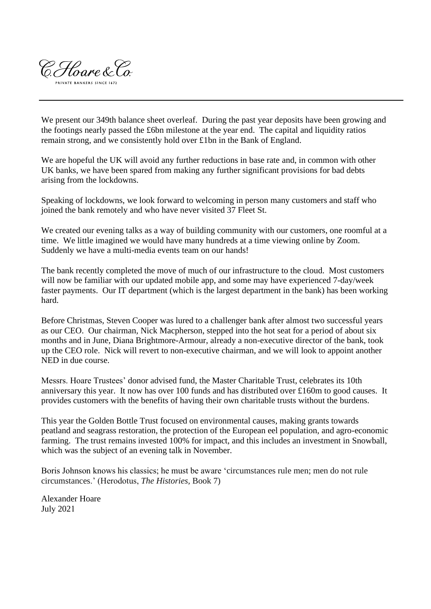

We present our 349th balance sheet overleaf. During the past year deposits have been growing and the footings nearly passed the £6bn milestone at the year end. The capital and liquidity ratios remain strong, and we consistently hold over £1bn in the Bank of England.

We are hopeful the UK will avoid any further reductions in base rate and, in common with other UK banks, we have been spared from making any further significant provisions for bad debts arising from the lockdowns.

Speaking of lockdowns, we look forward to welcoming in person many customers and staff who joined the bank remotely and who have never visited 37 Fleet St.

We created our evening talks as a way of building community with our customers, one roomful at a time. We little imagined we would have many hundreds at a time viewing online by Zoom. Suddenly we have a multi-media events team on our hands!

The bank recently completed the move of much of our infrastructure to the cloud. Most customers will now be familiar with our updated mobile app, and some may have experienced 7-day/week faster payments. Our IT department (which is the largest department in the bank) has been working hard.

Before Christmas, Steven Cooper was lured to a challenger bank after almost two successful years as our CEO. Our chairman, Nick Macpherson, stepped into the hot seat for a period of about six months and in June, Diana Brightmore-Armour, already a non-executive director of the bank, took up the CEO role. Nick will revert to non-executive chairman, and we will look to appoint another NED in due course.

Messrs. Hoare Trustees' donor advised fund, the Master Charitable Trust, celebrates its 10th anniversary this year. It now has over 100 funds and has distributed over £160m to good causes. It provides customers with the benefits of having their own charitable trusts without the burdens.

This year the Golden Bottle Trust focused on environmental causes, making grants towards peatland and seagrass restoration, the protection of the European eel population, and agro-economic farming. The trust remains invested 100% for impact, and this includes an investment in Snowball, which was the subject of an evening talk in November.

Boris Johnson knows his classics; he must be aware 'circumstances rule men; men do not rule circumstances.' (Herodotus, *The Histories,* Book 7)

Alexander Hoare July 2021